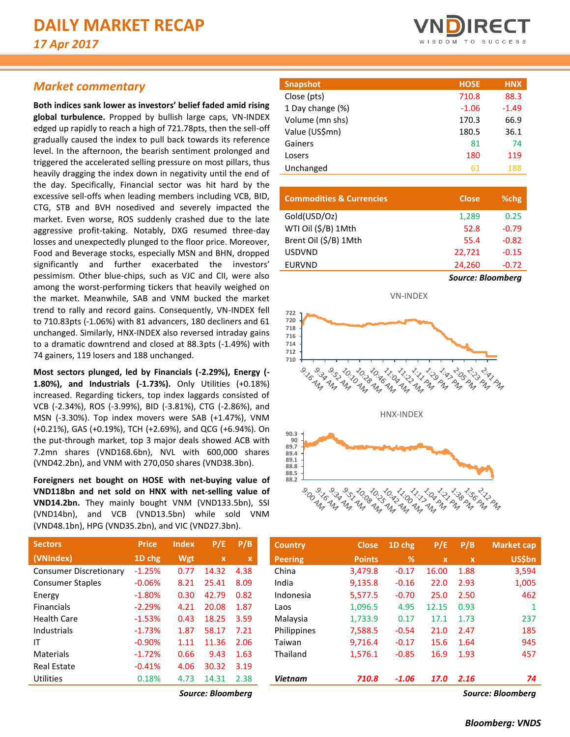# *Market commentary*

**Both indices sank lower as investors' belief faded amid rising global turbulence.** Propped by bullish large caps, VN-INDEX edged up rapidly to reach a high of 721.78pts, then the sell-off gradually caused the index to pull back towards its reference level. In the afternoon, the bearish sentiment prolonged and triggered the accelerated selling pressure on most pillars, thus heavily dragging the index down in negativity until the end of the day. Specifically, Financial sector was hit hard by the excessive sell-offs when leading members including VCB, BID, CTG, STB and BVH nosedived and severely impacted the market. Even worse, ROS suddenly crashed due to the late aggressive profit-taking. Notably, DXG resumed three-day losses and unexpectedly plunged to the floor price. Moreover, Food and Beverage stocks, especially MSN and BHN, dropped significantly and further exacerbated the investors' pessimism. Other blue-chips, such as VJC and CII, were also among the worst-performing tickers that heavily weighed on the market. Meanwhile, SAB and VNM bucked the market trend to rally and record gains. Consequently, VN-INDEX fell to 710.83pts (-1.06%) with 81 advancers, 180 decliners and 61 unchanged. Similarly, HNX-INDEX also reversed intraday gains to a dramatic downtrend and closed at 88.3pts (-1.49%) with 74 gainers, 119 losers and 188 unchanged.

**Most sectors plunged, led by Financials (-2.29%), Energy (- 1.80%), and Industrials (-1.73%).** Only Utilities (+0.18%) increased. Regarding tickers, top index laggards consisted of VCB (-2.34%), ROS (-3.99%), BID (-3.81%), CTG (-2.86%), and MSN (-3.30%). Top index movers were SAB (+1.47%), VNM (+0.21%), GAS (+0.19%), TCH (+2.69%), and QCG (+6.94%). On the put-through market, top 3 major deals showed ACB with 7.2mn shares (VND168.6bn), NVL with 600,000 shares (VND42.2bn), and VNM with 270,050 shares (VND38.3bn).

**Foreigners net bought on HOSE with net-buying value of VND118bn and net sold on HNX with net-selling value of VND14.2bn.** They mainly bought VNM (VND133.5bn), SSI (VND14bn), and VCB (VND13.5bn) while sold VNM (VND48.1bn), HPG (VND35.2bn), and VIC (VND27.3bn).

| <b>Price</b> | <b>Index</b> | P/E         | P/B  |
|--------------|--------------|-------------|------|
| 1D chg       | <b>Wgt</b>   | $\mathbf x$ | x    |
| $-1.25%$     | 0.77         | 14.32       | 4.38 |
| $-0.06%$     | 8.21         | 25.41       | 8.09 |
| $-1.80%$     | 0.30         | 42.79       | 0.82 |
| $-2.29%$     | 4.21         | 20.08       | 1.87 |
| $-1.53%$     | 0.43         | 18.25       | 3.59 |
| $-1.73%$     | 1.87         | 58.17       | 7.21 |
| $-0.90%$     | 1.11         | 11.36       | 2.06 |
| $-1.72%$     | 0.66         | 9.43        | 1.63 |
| $-0.41%$     | 4.06         | 30.32       | 3.19 |
| 0.18%        | 4.73         | 14.31       | 2.38 |
|              |              |             |      |



| <b>Snapshot</b>  | <b>HOSE</b> | <b>HNX</b> |
|------------------|-------------|------------|
| Close (pts)      | 710.8       | 88.3       |
| 1 Day change (%) | $-1.06$     | $-1.49$    |
| Volume (mn shs)  | 170.3       | 66.9       |
| Value (US\$mn)   | 180.5       | 36.1       |
| Gainers          | 81          | 74         |
| Losers           | 180         | 119        |
| Unchanged        | 61          | 188        |

| <b>Commodities &amp; Currencies</b> | <b>Close</b>             | %chg    |
|-------------------------------------|--------------------------|---------|
| Gold(USD/Oz)                        | 1,289                    | 0.25    |
| WTI Oil (\$/B) 1Mth                 | 52.8                     | $-0.79$ |
| Brent Oil (\$/B) 1Mth               | 55.4                     | $-0.82$ |
| <b>USDVND</b>                       | 22,721                   | $-0.15$ |
| <b>EURVND</b>                       | 24,260                   | $-0.72$ |
|                                     | <b>Source: Bloomberg</b> |         |



| <b>Sectors</b>                | <b>Price</b> | <b>Index</b> | P/E               | P/B  | <b>Country</b> | <b>Close</b>  | 1D chg  | P/E          | P/B          | <b>Market cap</b> |
|-------------------------------|--------------|--------------|-------------------|------|----------------|---------------|---------|--------------|--------------|-------------------|
| (VNIndex)                     | 1D chg       | Wgt          | $\mathbf{x}$      | x    | <b>Peering</b> | <b>Points</b> | %       | $\mathbf{x}$ | $\mathbf{x}$ | <b>US\$bn</b>     |
| <b>Consumer Discretionary</b> | $-1.25%$     | 0.77         | 14.32             | 4.38 | China          | 3,479.8       | $-0.17$ | 16.00        | 1.88         | 3,594             |
| <b>Consumer Staples</b>       | $-0.06%$     | 8.21         | 25.41             | 8.09 | India          | 9,135.8       | $-0.16$ | 22.0         | 2.93         | 1,005             |
| Energy                        | $-1.80%$     | 0.30         | 42.79             | 0.82 | Indonesia      | 5,577.5       | $-0.70$ | 25.0         | 2.50         | 462               |
| <b>Financials</b>             | $-2.29%$     | 4.21         | 20.08             | 1.87 | Laos           | 1,096.5       | 4.95    | 12.15        | 0.93         |                   |
| Health Care                   | $-1.53%$     | 0.43         | 18.25             | 3.59 | Malaysia       | 1,733.9       | 0.17    | 17.1         | 1.73         | 237               |
| Industrials                   | $-1.73%$     | 1.87         | 58.17             | 7.21 | Philippines    | 7,588.5       | $-0.54$ | 21.0         | 2.47         | 185               |
| ΙT                            | $-0.90%$     | 1.11         | 11.36             | 2.06 | Taiwan         | 9,716.4       | $-0.17$ | 15.6         | 1.64         | 945               |
| Materials                     | $-1.72%$     | 0.66         | 9.43              | 1.63 | Thailand       | 1,576.1       | $-0.85$ | 16.9         | 1.93         | 457               |
| <b>Real Estate</b>            | $-0.41%$     | 4.06         | 30.32             | 3.19 |                |               |         |              |              |                   |
| Utilities                     | 0.18%        | 4.73         | 14.31             | 2.38 | <b>Vietnam</b> | 710.8         | $-1.06$ | <b>17.0</b>  | 2.16         | 74                |
|                               |              |              | Source: Bloombera |      |                |               |         |              |              | Source: Bloombera |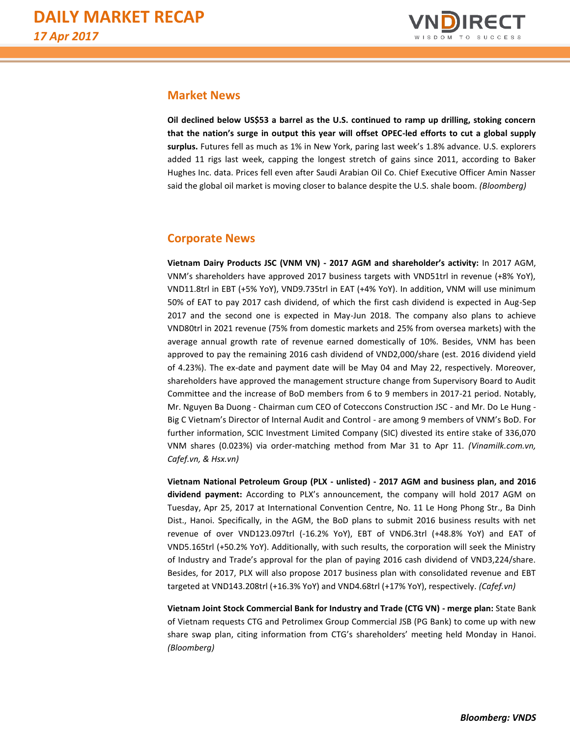

# **Market News**

**Oil declined below US\$53 a barrel as the U.S. continued to ramp up drilling, stoking concern that the nation's surge in output this year will offset OPEC-led efforts to cut a global supply surplus.** Futures fell as much as 1% in New York, paring last week's 1.8% advance. U.S. explorers added 11 rigs last week, capping the longest stretch of gains since 2011, according to Baker Hughes Inc. data. Prices fell even after Saudi Arabian Oil Co. Chief Executive Officer Amin Nasser said the global oil market is moving closer to balance despite the U.S. shale boom. *(Bloomberg)*

# **Corporate News**

**Vietnam Dairy Products JSC (VNM VN) - 2017 AGM and shareholder's activity:** In 2017 AGM, VNM's shareholders have approved 2017 business targets with VND51trl in revenue (+8% YoY), VND11.8trl in EBT (+5% YoY), VND9.735trl in EAT (+4% YoY). In addition, VNM will use minimum 50% of EAT to pay 2017 cash dividend, of which the first cash dividend is expected in Aug-Sep 2017 and the second one is expected in May-Jun 2018. The company also plans to achieve VND80trl in 2021 revenue (75% from domestic markets and 25% from oversea markets) with the average annual growth rate of revenue earned domestically of 10%. Besides, VNM has been approved to pay the remaining 2016 cash dividend of VND2,000/share (est. 2016 dividend yield of 4.23%). The ex-date and payment date will be May 04 and May 22, respectively. Moreover, shareholders have approved the management structure change from Supervisory Board to Audit Committee and the increase of BoD members from 6 to 9 members in 2017-21 period. Notably, Mr. Nguyen Ba Duong - Chairman cum CEO of Coteccons Construction JSC - and Mr. Do Le Hung - Big C Vietnam's Director of Internal Audit and Control - are among 9 members of VNM's BoD. For further information, SCIC Investment Limited Company (SIC) divested its entire stake of 336,070 VNM shares (0.023%) via order-matching method from Mar 31 to Apr 11. *(Vinamilk.com.vn, Cafef.vn, & Hsx.vn)* 

**Vietnam National Petroleum Group (PLX - unlisted) - 2017 AGM and business plan, and 2016 dividend payment:** According to PLX's announcement, the company will hold 2017 AGM on Tuesday, Apr 25, 2017 at International Convention Centre, No. 11 Le Hong Phong Str., Ba Dinh Dist., Hanoi. Specifically, in the AGM, the BoD plans to submit 2016 business results with net revenue of over VND123.097trl (-16.2% YoY), EBT of VND6.3trl (+48.8% YoY) and EAT of VND5.165trl (+50.2% YoY). Additionally, with such results, the corporation will seek the Ministry of Industry and Trade's approval for the plan of paying 2016 cash dividend of VND3,224/share. Besides, for 2017, PLX will also propose 2017 business plan with consolidated revenue and EBT targeted at VND143.208trl (+16.3% YoY) and VND4.68trl (+17% YoY), respectively. *(Cafef.vn)*

**Vietnam Joint Stock Commercial Bank for Industry and Trade (CTG VN) - merge plan:** State Bank of Vietnam requests CTG and Petrolimex Group Commercial JSB (PG Bank) to come up with new share swap plan, citing information from CTG's shareholders' meeting held Monday in Hanoi. *(Bloomberg)*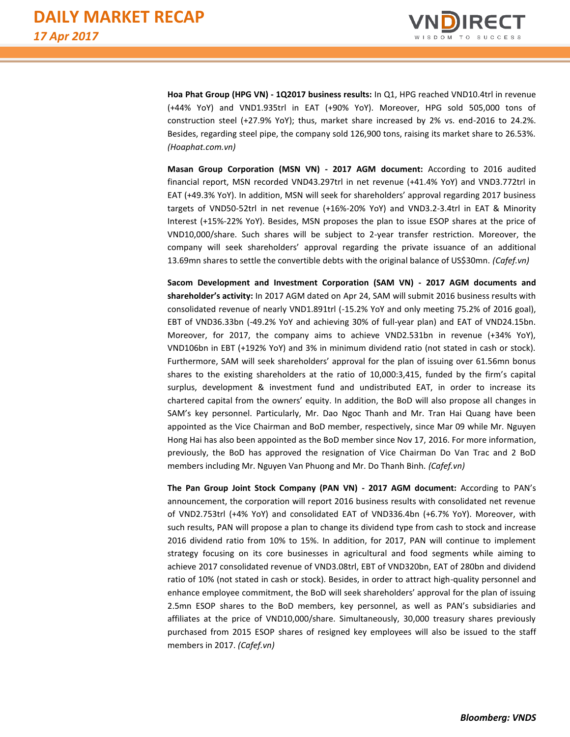

**Hoa Phat Group (HPG VN) - 1Q2017 business results:** In Q1, HPG reached VND10.4trl in revenue (+44% YoY) and VND1.935trl in EAT (+90% YoY). Moreover, HPG sold 505,000 tons of construction steel (+27.9% YoY); thus, market share increased by 2% vs. end-2016 to 24.2%. Besides, regarding steel pipe, the company sold 126,900 tons, raising its market share to 26.53%. *(Hoaphat.com.vn)*

**Masan Group Corporation (MSN VN) - 2017 AGM document:** According to 2016 audited financial report, MSN recorded VND43.297trl in net revenue (+41.4% YoY) and VND3.772trl in EAT (+49.3% YoY). In addition, MSN will seek for shareholders' approval regarding 2017 business targets of VND50-52trl in net revenue (+16%-20% YoY) and VND3.2-3.4trl in EAT & Minority Interest (+15%-22% YoY). Besides, MSN proposes the plan to issue ESOP shares at the price of VND10,000/share. Such shares will be subject to 2-year transfer restriction. Moreover, the company will seek shareholders' approval regarding the private issuance of an additional 13.69mn shares to settle the convertible debts with the original balance of US\$30mn. *(Cafef.vn)*

**Sacom Development and Investment Corporation (SAM VN) - 2017 AGM documents and shareholder's activity:** In 2017 AGM dated on Apr 24, SAM will submit 2016 business results with consolidated revenue of nearly VND1.891trl (-15.2% YoY and only meeting 75.2% of 2016 goal), EBT of VND36.33bn (-49.2% YoY and achieving 30% of full-year plan) and EAT of VND24.15bn. Moreover, for 2017, the company aims to achieve VND2.531bn in revenue (+34% YoY), VND106bn in EBT (+192% YoY) and 3% in minimum dividend ratio (not stated in cash or stock). Furthermore, SAM will seek shareholders' approval for the plan of issuing over 61.56mn bonus shares to the existing shareholders at the ratio of 10,000:3,415, funded by the firm's capital surplus, development & investment fund and undistributed EAT, in order to increase its chartered capital from the owners' equity. In addition, the BoD will also propose all changes in SAM's key personnel. Particularly, Mr. Dao Ngoc Thanh and Mr. Tran Hai Quang have been appointed as the Vice Chairman and BoD member, respectively, since Mar 09 while Mr. Nguyen Hong Hai has also been appointed as the BoD member since Nov 17, 2016. For more information, previously, the BoD has approved the resignation of Vice Chairman Do Van Trac and 2 BoD members including Mr. Nguyen Van Phuong and Mr. Do Thanh Binh. *(Cafef.vn)*

**The Pan Group Joint Stock Company (PAN VN) - 2017 AGM document:** According to PAN's announcement, the corporation will report 2016 business results with consolidated net revenue of VND2.753trl (+4% YoY) and consolidated EAT of VND336.4bn (+6.7% YoY). Moreover, with such results, PAN will propose a plan to change its dividend type from cash to stock and increase 2016 dividend ratio from 10% to 15%. In addition, for 2017, PAN will continue to implement strategy focusing on its core businesses in agricultural and food segments while aiming to achieve 2017 consolidated revenue of VND3.08trl, EBT of VND320bn, EAT of 280bn and dividend ratio of 10% (not stated in cash or stock). Besides, in order to attract high-quality personnel and enhance employee commitment, the BoD will seek shareholders' approval for the plan of issuing 2.5mn ESOP shares to the BoD members, key personnel, as well as PAN's subsidiaries and affiliates at the price of VND10,000/share. Simultaneously, 30,000 treasury shares previously purchased from 2015 ESOP shares of resigned key employees will also be issued to the staff members in 2017. *(Cafef.vn)*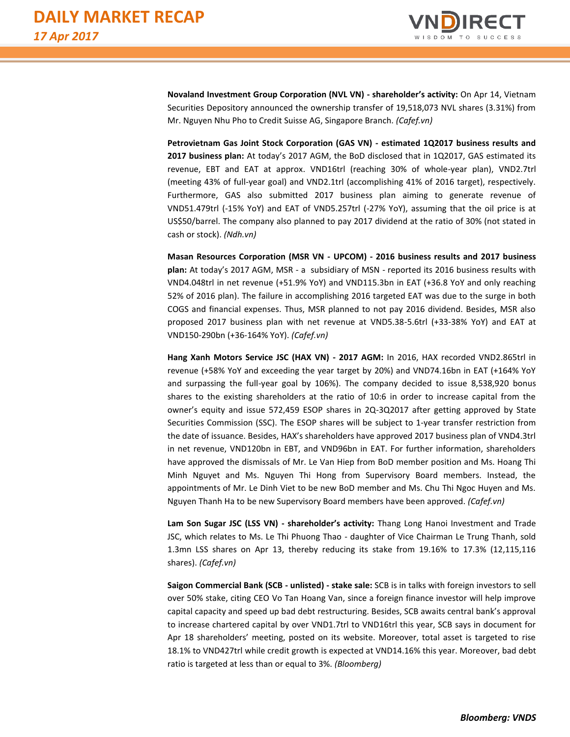

**Novaland Investment Group Corporation (NVL VN) - shareholder's activity:** On Apr 14, Vietnam Securities Depository announced the ownership transfer of 19,518,073 NVL shares (3.31%) from Mr. Nguyen Nhu Pho to Credit Suisse AG, Singapore Branch. *(Cafef.vn)*

**Petrovietnam Gas Joint Stock Corporation (GAS VN) - estimated 1Q2017 business results and 2017 business plan:** At today's 2017 AGM, the BoD disclosed that in 1Q2017, GAS estimated its revenue, EBT and EAT at approx. VND16trl (reaching 30% of whole-year plan), VND2.7trl (meeting 43% of full-year goal) and VND2.1trl (accomplishing 41% of 2016 target), respectively. Furthermore, GAS also submitted 2017 business plan aiming to generate revenue of VND51.479trl (-15% YoY) and EAT of VND5.257trl (-27% YoY), assuming that the oil price is at US\$50/barrel. The company also planned to pay 2017 dividend at the ratio of 30% (not stated in cash or stock). *(Ndh.vn)*

**Masan Resources Corporation (MSR VN - UPCOM) - 2016 business results and 2017 business plan:** At today's 2017 AGM, MSR - a subsidiary of MSN - reported its 2016 business results with VND4.048trl in net revenue (+51.9% YoY) and VND115.3bn in EAT (+36.8 YoY and only reaching 52% of 2016 plan). The failure in accomplishing 2016 targeted EAT was due to the surge in both COGS and financial expenses. Thus, MSR planned to not pay 2016 dividend. Besides, MSR also proposed 2017 business plan with net revenue at VND5.38-5.6trl (+33-38% YoY) and EAT at VND150-290bn (+36-164% YoY). *(Cafef.vn)*

**Hang Xanh Motors Service JSC (HAX VN) - 2017 AGM:** In 2016, HAX recorded VND2.865trl in revenue (+58% YoY and exceeding the year target by 20%) and VND74.16bn in EAT (+164% YoY and surpassing the full-year goal by 106%). The company decided to issue 8,538,920 bonus shares to the existing shareholders at the ratio of 10:6 in order to increase capital from the owner's equity and issue 572,459 ESOP shares in 2Q-3Q2017 after getting approved by State Securities Commission (SSC). The ESOP shares will be subject to 1-year transfer restriction from the date of issuance. Besides, HAX's shareholders have approved 2017 business plan of VND4.3trl in net revenue, VND120bn in EBT, and VND96bn in EAT. For further information, shareholders have approved the dismissals of Mr. Le Van Hiep from BoD member position and Ms. Hoang Thi Minh Nguyet and Ms. Nguyen Thi Hong from Supervisory Board members. Instead, the appointments of Mr. Le Dinh Viet to be new BoD member and Ms. Chu Thi Ngoc Huyen and Ms. Nguyen Thanh Ha to be new Supervisory Board members have been approved. *(Cafef.vn)* 

**Lam Son Sugar JSC (LSS VN) - shareholder's activity:** Thang Long Hanoi Investment and Trade JSC, which relates to Ms. Le Thi Phuong Thao - daughter of Vice Chairman Le Trung Thanh, sold 1.3mn LSS shares on Apr 13, thereby reducing its stake from 19.16% to 17.3% (12,115,116 shares). *(Cafef.vn)* 

**Saigon Commercial Bank (SCB - unlisted) - stake sale:** SCB is in talks with foreign investors to sell over 50% stake, citing CEO Vo Tan Hoang Van, since a foreign finance investor will help improve capital capacity and speed up bad debt restructuring. Besides, SCB awaits central bank's approval to increase chartered capital by over VND1.7trl to VND16trl this year, SCB says in document for Apr 18 shareholders' meeting, posted on its website. Moreover, total asset is targeted to rise 18.1% to VND427trl while credit growth is expected at VND14.16% this year. Moreover, bad debt ratio is targeted at less than or equal to 3%. *(Bloomberg)*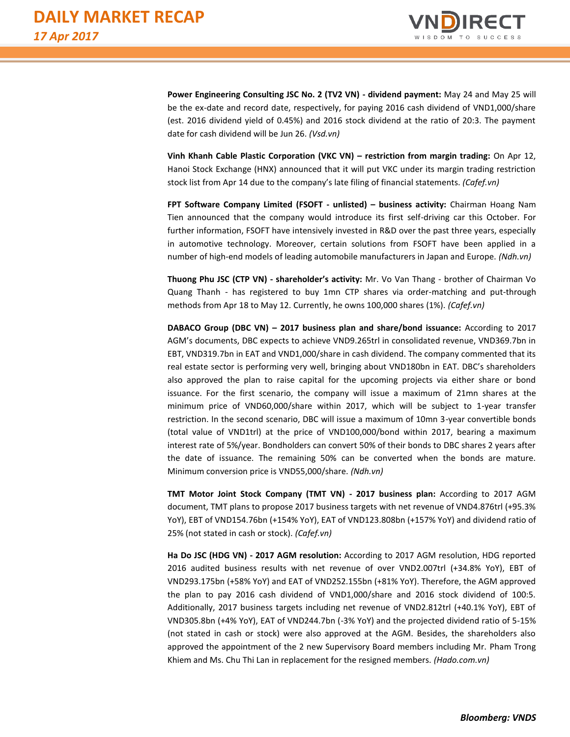

**Power Engineering Consulting JSC No. 2 (TV2 VN) - dividend payment:** May 24 and May 25 will be the ex-date and record date, respectively, for paying 2016 cash dividend of VND1,000/share (est. 2016 dividend yield of 0.45%) and 2016 stock dividend at the ratio of 20:3. The payment date for cash dividend will be Jun 26. *(Vsd.vn)*

**Vinh Khanh Cable Plastic Corporation (VKC VN) – restriction from margin trading:** On Apr 12, Hanoi Stock Exchange (HNX) announced that it will put VKC under its margin trading restriction stock list from Apr 14 due to the company's late filing of financial statements. *(Cafef.vn)*

**FPT Software Company Limited (FSOFT - unlisted) – business activity:** Chairman Hoang Nam Tien announced that the company would introduce its first self-driving car this October. For further information, FSOFT have intensively invested in R&D over the past three years, especially in automotive technology. Moreover, certain solutions from FSOFT have been applied in a number of high-end models of leading automobile manufacturers in Japan and Europe. *(Ndh.vn)*

**Thuong Phu JSC (CTP VN) - shareholder's activity:** Mr. Vo Van Thang - brother of Chairman Vo Quang Thanh - has registered to buy 1mn CTP shares via order-matching and put-through methods from Apr 18 to May 12. Currently, he owns 100,000 shares (1%). *(Cafef.vn)* 

**DABACO Group (DBC VN) – 2017 business plan and share/bond issuance:** According to 2017 AGM's documents, DBC expects to achieve VND9.265trl in consolidated revenue, VND369.7bn in EBT, VND319.7bn in EAT and VND1,000/share in cash dividend. The company commented that its real estate sector is performing very well, bringing about VND180bn in EAT. DBC's shareholders also approved the plan to raise capital for the upcoming projects via either share or bond issuance. For the first scenario, the company will issue a maximum of 21mn shares at the minimum price of VND60,000/share within 2017, which will be subject to 1-year transfer restriction. In the second scenario, DBC will issue a maximum of 10mn 3-year convertible bonds (total value of VND1trl) at the price of VND100,000/bond within 2017, bearing a maximum interest rate of 5%/year. Bondholders can convert 50% of their bonds to DBC shares 2 years after the date of issuance. The remaining 50% can be converted when the bonds are mature. Minimum conversion price is VND55,000/share. *(Ndh.vn)*

**TMT Motor Joint Stock Company (TMT VN) - 2017 business plan:** According to 2017 AGM document, TMT plans to propose 2017 business targets with net revenue of VND4.876trl (+95.3% YoY), EBT of VND154.76bn (+154% YoY), EAT of VND123.808bn (+157% YoY) and dividend ratio of 25% (not stated in cash or stock). *(Cafef.vn)*

**Ha Do JSC (HDG VN) - 2017 AGM resolution:** According to 2017 AGM resolution, HDG reported 2016 audited business results with net revenue of over VND2.007trl (+34.8% YoY), EBT of VND293.175bn (+58% YoY) and EAT of VND252.155bn (+81% YoY). Therefore, the AGM approved the plan to pay 2016 cash dividend of VND1,000/share and 2016 stock dividend of 100:5. Additionally, 2017 business targets including net revenue of VND2.812trl (+40.1% YoY), EBT of VND305.8bn (+4% YoY), EAT of VND244.7bn (-3% YoY) and the projected dividend ratio of 5-15% (not stated in cash or stock) were also approved at the AGM. Besides, the shareholders also approved the appointment of the 2 new Supervisory Board members including Mr. Pham Trong Khiem and Ms. Chu Thi Lan in replacement for the resigned members. *(Hado.com.vn)*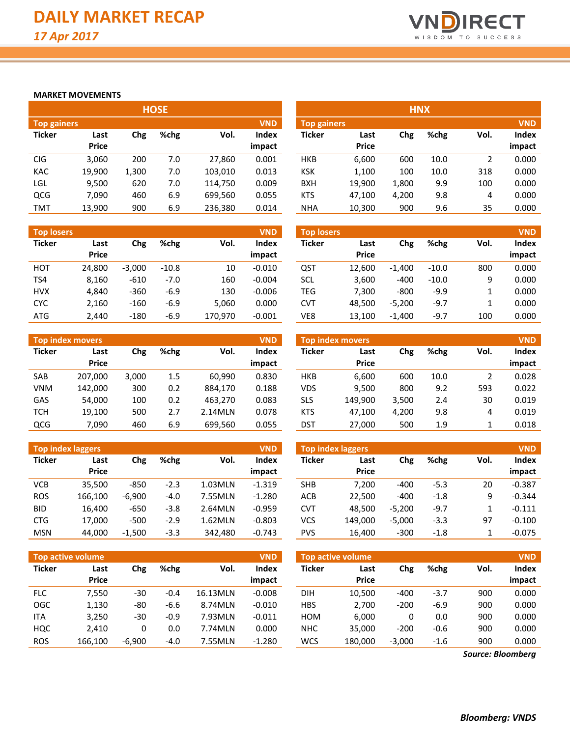

## **MARKET MOVEMENTS**

|                    | <b>HOSE</b>  |       |         |         |              |                    |              |       | <b>HNX</b> |      |            |
|--------------------|--------------|-------|---------|---------|--------------|--------------------|--------------|-------|------------|------|------------|
| <b>Top gainers</b> |              |       |         |         | <b>VND</b>   | <b>Top gainers</b> |              |       |            |      | <b>VND</b> |
| <b>Ticker</b>      | Last         | Chg   | $%$ chg | Vol.    | <b>Index</b> | <b>Ticker</b>      | Last         | Chg   | %chg       | Vol. | Index      |
|                    | <b>Price</b> |       |         |         | impact       |                    | <b>Price</b> |       |            |      | impact     |
| <b>CIG</b>         | 3,060        | 200   | 7.0     | 27,860  | 0.001        | <b>HKB</b>         | 6,600        | 600   | 10.0       |      | 0.000      |
| <b>KAC</b>         | 19,900       | 1.300 | 7.0     | 103,010 | 0.013        | <b>KSK</b>         | 1,100        | 100   | 10.0       | 318  | 0.000      |
| LGL                | 9,500        | 620   | 7.0     | 114,750 | 0.009        | <b>BXH</b>         | 19.900       | 1,800 | 9.9        | 100  | 0.000      |
| QCG                | 7.090        | 460   | 6.9     | 699,560 | 0.055        | <b>KTS</b>         | 47,100       | 4,200 | 9.8        | 4    | 0.000      |
| <b>TMT</b>         | 13.900       | 900   | 6.9     | 236,380 | 0.014        | <b>NHA</b>         | 10,300       | 900   | 9.6        | 35   | 0.000      |

| <b>Top losers</b> |              |          |         |         | <b>VND</b>   | <b>Top losers</b> |              |          |         |      | <b>VND</b> |
|-------------------|--------------|----------|---------|---------|--------------|-------------------|--------------|----------|---------|------|------------|
| <b>Ticker</b>     | Last         | Chg      | %chg    | Vol.    | <b>Index</b> | <b>Ticker</b>     | Last         | Chg      | %chg    | Vol. | Index      |
|                   | <b>Price</b> |          |         |         | impact       |                   | <b>Price</b> |          |         |      | impact     |
| <b>HOT</b>        | 24.800       | $-3.000$ | $-10.8$ | 10      | $-0.010$     | QST               | 12.600       | $-1.400$ | $-10.0$ | 800  | 0.000      |
| TS4               | 8,160        | $-610$   | $-7.0$  | 160     | $-0.004$     | <b>SCL</b>        | 3.600        | $-400$   | $-10.0$ | 9    | 0.000      |
| <b>HVX</b>        | 4.840        | $-360$   | $-6.9$  | 130     | $-0.006$     | <b>TEG</b>        | 7.300        | $-800$   | $-9.9$  |      | 0.000      |
| <b>CYC</b>        | 2,160        | $-160$   | $-6.9$  | 5.060   | 0.000        | <b>CVT</b>        | 48.500       | $-5.200$ | $-9.7$  |      | 0.000      |
| <b>ATG</b>        | 2.440        | $-180$   | $-6.9$  | 170.970 | $-0.001$     | VE8               | 13.100       | $-1,400$ | $-9.7$  | 100  | 0.000      |

|               | <b>Top index movers</b> |       |      |         | <b>VND</b> |               | <b>Top index movers</b> |       |      |      | <b>VND</b> |
|---------------|-------------------------|-------|------|---------|------------|---------------|-------------------------|-------|------|------|------------|
| <b>Ticker</b> | Last                    | Chg   | %chg | Vol.    | Index      | <b>Ticker</b> | Last                    | Chg   | %chg | Vol. | Index      |
|               | <b>Price</b>            |       |      |         | impact     |               | <b>Price</b>            |       |      |      | impact     |
| SAB           | 207.000                 | 3.000 | 1.5  | 60.990  | 0.830      | <b>HKB</b>    | 6.600                   | 600   | 10.0 |      | 0.028      |
| <b>VNM</b>    | 142.000                 | 300   | 0.2  | 884.170 | 0.188      | <b>VDS</b>    | 9.500                   | 800   | 9.2  | 593  | 0.022      |
| <b>GAS</b>    | 54,000                  | 100   | 0.2  | 463.270 | 0.083      | <b>SLS</b>    | 149.900                 | 3,500 | 2.4  | 30   | 0.019      |
| <b>TCH</b>    | 19,100                  | 500   | 2.7  | 2.14MLN | 0.078      | <b>KTS</b>    | 47,100                  | 4,200 | 9.8  | 4    | 0.019      |
| QCG           | 7.090                   | 460   | 6.9  | 699,560 | 0.055      | DST           | 27,000                  | 500   | 1.9  |      | 0.018      |

|               | Top index laggers    |          |        |         | <b>VND</b>      | Top index laggers<br><b>VND</b> |                      |          |        |      |                 |
|---------------|----------------------|----------|--------|---------|-----------------|---------------------------------|----------------------|----------|--------|------|-----------------|
| <b>Ticker</b> | Last<br><b>Price</b> | Chg      | %chg   | Vol.    | Index<br>impact | <b>Ticker</b>                   | Last<br><b>Price</b> | Chg      | %chg   | Vol. | Index<br>impact |
| <b>VCB</b>    | 35.500               | $-850$   | $-2.3$ | 1.03MLN | $-1.319$        | <b>SHB</b>                      | 7.200                | -400     | $-5.3$ | 20   | $-0.387$        |
| <b>ROS</b>    | 166.100              | $-6.900$ | $-4.0$ | 7.55MLN | $-1.280$        | <b>ACB</b>                      | 22.500               | $-400$   | $-1.8$ | 9    | $-0.344$        |
| <b>BID</b>    | 16.400               | $-650$   | $-3.8$ | 2.64MLN | $-0.959$        | CVT                             | 48.500               | $-5.200$ | $-9.7$ |      | $-0.111$        |
| <b>CTG</b>    | 17.000               | $-500$   | $-2.9$ | 1.62MLN | $-0.803$        | VCS                             | 149.000              | $-5.000$ | $-3.3$ | 97   | $-0.100$        |
| <b>MSN</b>    | 44,000               | $-1,500$ | $-3.3$ | 342,480 | $-0.743$        | <b>PVS</b>                      | 16,400               | $-300$   | $-1.8$ |      | $-0.075$        |

|               | Top active volume |          |         |          | <b>VND</b>   | <b>VND</b><br><b>Top active volume</b> |              |          |        |      |        |
|---------------|-------------------|----------|---------|----------|--------------|----------------------------------------|--------------|----------|--------|------|--------|
| <b>Ticker</b> | Last              | Chg      | $%$ chg | Vol.     | <b>Index</b> | <b>Ticker</b>                          | Last         | Chg      | %chg   | Vol. | Index  |
|               | <b>Price</b>      |          |         |          | impact       |                                        | <b>Price</b> |          |        |      | impact |
| <b>FLC</b>    | 7.550             | -30      | $-0.4$  | 16.13MLN | $-0.008$     | <b>DIH</b>                             | 10.500       | $-400$   | $-3.7$ | 900  | 0.000  |
| OGC           | 1,130             | -80      | $-6.6$  | 8.74MLN  | $-0.010$     | <b>HBS</b>                             | 2,700        | $-200$   | $-6.9$ | 900  | 0.000  |
| <b>ITA</b>    | 3,250             | -30      | $-0.9$  | 7.93MLN  | $-0.011$     | <b>HOM</b>                             | 6.000        | 0        | 0.0    | 900  | 0.000  |
| HQC           | 2.410             | 0        | 0.0     | 7.74MLN  | 0.000        | <b>NHC</b>                             | 35,000       | $-200$   | $-0.6$ | 900  | 0.000  |
| <b>ROS</b>    | 166.100           | $-6,900$ | $-4.0$  | 7.55MLN  | $-1.280$     | <b>WCS</b>                             | 180.000      | $-3,000$ | $-1.6$ | 900  | 0.000  |

|                    |              |       | <b>HOSE</b> |         |              | <b>HNX</b>         |              |       |      |      |            |  |
|--------------------|--------------|-------|-------------|---------|--------------|--------------------|--------------|-------|------|------|------------|--|
| <b>Top gainers</b> |              |       |             |         | <b>VND</b>   | <b>Top gainers</b> |              |       |      |      | <b>VND</b> |  |
| Ticker             | Last         | Chg   | %chg        | Vol.    | <b>Index</b> | Ticker             | Last         | Chg   | %chg | Vol. | Index      |  |
|                    | <b>Price</b> |       |             |         | impact       |                    | <b>Price</b> |       |      |      | impact     |  |
| CIG                | 3,060        | 200   | 7.0         | 27,860  | 0.001        | <b>HKB</b>         | 6,600        | 600   | 10.0 | 2    | 0.000      |  |
| KAC                | 19,900       | 1,300 | 7.0         | 103,010 | 0.013        | KSK                | 1,100        | 100   | 10.0 | 318  | 0.000      |  |
| LGL                | 9,500        | 620   | 7.0         | 114,750 | 0.009        | <b>BXH</b>         | 19,900       | 1,800 | 9.9  | 100  | 0.000      |  |
| QCG                | 7,090        | 460   | 6.9         | 699,560 | 0.055        | <b>KTS</b>         | 47,100       | 4,200 | 9.8  | 4    | 0.000      |  |
| TMT                | 13,900       | 900   | 6.9         | 236,380 | 0.014        | <b>NHA</b>         | 10,300       | 900   | 9.6  | 35   | 0.000      |  |

| <b>Top losers</b> |        |          |         |      | <b>VND</b> |
|-------------------|--------|----------|---------|------|------------|
| <b>Ticker</b>     | Last   | Chg      | %chg    | Vol. | Index      |
|                   | Price  |          |         |      | impact     |
| OST               | 12,600 | $-1,400$ | $-10.0$ | 800  | 0.000      |
| <b>SCL</b>        | 3,600  | $-400$   | $-10.0$ | 9    | 0.000      |
| <b>TEG</b>        | 7,300  | $-800$   | $-9.9$  | 1    | 0.000      |
| <b>CVT</b>        | 48,500 | $-5,200$ | $-9.7$  | 1    | 0.000      |
| VE8               | 13,100 | $-1,400$ | $-9.7$  | 100  | 0.000      |

|               | <b>VND</b><br><b>Top index movers</b> |       |      |       |        |  |  |  |  |  |  |  |
|---------------|---------------------------------------|-------|------|-------|--------|--|--|--|--|--|--|--|
| <b>Ticker</b> | Last                                  | Chg   | Vol. | Index |        |  |  |  |  |  |  |  |
|               | Price                                 |       |      |       | impact |  |  |  |  |  |  |  |
| HKB           | 6,600                                 | 600   | 10.0 | 2     | 0.028  |  |  |  |  |  |  |  |
| <b>VDS</b>    | 9,500                                 | 800   | 9.2  | 593   | 0.022  |  |  |  |  |  |  |  |
| <b>SLS</b>    | 149.900                               | 3,500 | 2.4  | 30    | 0.019  |  |  |  |  |  |  |  |
| <b>KTS</b>    | 47,100                                | 4,200 | 9.8  | 4     | 0.019  |  |  |  |  |  |  |  |
| DST           | 27,000                                | 500   | 1.9  | 1     | 0.018  |  |  |  |  |  |  |  |

| <b>Top index laggers</b> |              |          |        |      |          |  |  |  |  |  |  |  |  |
|--------------------------|--------------|----------|--------|------|----------|--|--|--|--|--|--|--|--|
| <b>Ticker</b>            | Last         | Chg      | %chg   | Vol. | Index    |  |  |  |  |  |  |  |  |
|                          | <b>Price</b> |          |        |      | impact   |  |  |  |  |  |  |  |  |
| <b>SHB</b>               | 7.200        | $-400$   | $-5.3$ | 20   | $-0.387$ |  |  |  |  |  |  |  |  |
| ACB                      | 22,500       | $-400$   | $-1.8$ | 9    | $-0.344$ |  |  |  |  |  |  |  |  |
| <b>CVT</b>               | 48,500       | $-5,200$ | $-9.7$ | 1    | $-0.111$ |  |  |  |  |  |  |  |  |
| vcs                      | 149,000      | $-5,000$ | $-3.3$ | 97   | $-0.100$ |  |  |  |  |  |  |  |  |
| <b>PVS</b>               | 16,400       | $-300$   | $-1.8$ | 1    | $-0.075$ |  |  |  |  |  |  |  |  |

|               | <b>Top active volume</b> |          |        |      | <b>VND</b> |
|---------------|--------------------------|----------|--------|------|------------|
| <b>Ticker</b> | Last                     | Chg      | %chg   | Vol. | Index      |
|               | <b>Price</b>             |          |        |      | impact     |
| <b>DIH</b>    | 10,500                   | $-400$   | $-3.7$ | 900  | 0.000      |
| <b>HBS</b>    | 2,700                    | $-200$   | $-6.9$ | 900  | 0.000      |
| <b>HOM</b>    | 6,000                    | 0        | 0.0    | 900  | 0.000      |
| <b>NHC</b>    | 35,000                   | $-200$   | $-0.6$ | 900  | 0.000      |
| <b>WCS</b>    | 180.000                  | $-3,000$ | $-1.6$ | 900  | 0.000      |

*Source: Bloomberg*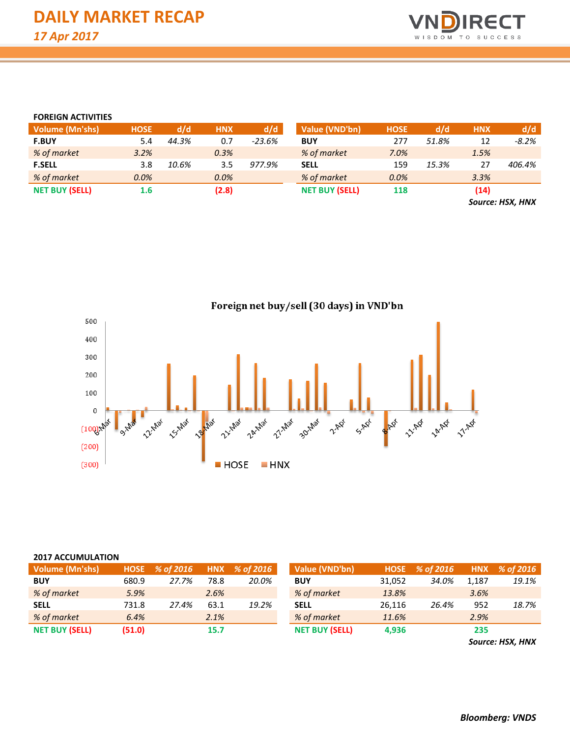

### **FOREIGN ACTIVITIES**

| <b>Volume (Mn'shs)</b> | <b>HOSE</b> | d/d   | <b>HNX</b> | d/d      | Value (VND'bn)        | <b>HOSE</b> | d/d   | <b>HNX</b>       | d/d     |  |
|------------------------|-------------|-------|------------|----------|-----------------------|-------------|-------|------------------|---------|--|
| <b>F.BUY</b>           | 5.4         | 44.3% | 0.7        | $-23.6%$ | <b>BUY</b>            | 277         | 51.8% | 12               | $-8.2%$ |  |
| % of market            | 3.2%        |       | 0.3%       |          | % of market           | 7.0%        |       | 1.5%             |         |  |
| <b>F.SELL</b>          | 3.8         | 10.6% | 3.5        | 977.9%   | <b>SELL</b>           | 159         | 15.3% | 27               | 406.4%  |  |
| % of market            | 0.0%        |       | 0.0%       |          | % of market           | 0.0%        |       | 3.3%             |         |  |
| <b>NET BUY (SELL)</b>  | 1.6         |       | (2.8)      |          | <b>NET BUY (SELL)</b> | 118         |       | (14)             |         |  |
|                        |             |       |            |          |                       |             |       | Source: HSX, HNX |         |  |



| <b>2017 ACCUMULATION</b> |
|--------------------------|
|--------------------------|

| <b>Volume (Mn'shs)</b> | <b>HOSE</b> | % of 2016 |      | HNX % of 2016 | Value (VND'bn)        | <b>HOSE</b> | % of 2016 | <b>HNX</b> | % of 2016 |
|------------------------|-------------|-----------|------|---------------|-----------------------|-------------|-----------|------------|-----------|
| <b>BUY</b>             | 680.9       | 27.7%     | 78.8 | 20.0%         | <b>BUY</b>            | 31,052      | 34.0%     | 1.187      | 19.1%     |
| % of market            | 5.9%        |           | 2.6% |               | % of market           | 13.8%       |           | 3.6%       |           |
| <b>SELL</b>            | 731.8       | 27.4%     | 63.1 | 19.2%         | <b>SELL</b>           | 26.116      | 26.4%     | 952        | 18.7%     |
| % of market            | 6.4%        |           | 2.1% |               | % of market           | 11.6%       |           | 2.9%       |           |
| <b>NET BUY (SELL)</b>  | (51.0)      |           | 15.7 |               | <b>NET BUY (SELL)</b> | 4,936       |           | 235        |           |

*Source: HSX, HNX*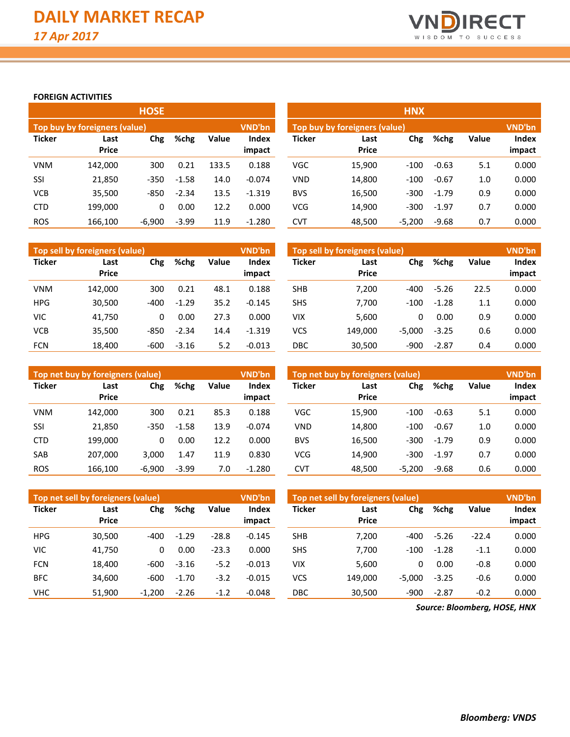

**impact**

#### **FOREIGN ACTIVITIES**

|               |                               | <b>HOSE</b> |         |       |                        | <b>HNX</b>    |                               |          |         |       |                 |  |  |  |
|---------------|-------------------------------|-------------|---------|-------|------------------------|---------------|-------------------------------|----------|---------|-------|-----------------|--|--|--|
|               | Top buy by foreigners (value) |             |         |       | VND'bn                 |               | Top buy by foreigners (value) |          |         |       | <b>VND'bn</b>   |  |  |  |
| <b>Ticker</b> | Last<br><b>Price</b>          | Chg         | %chg    | Value | <b>Index</b><br>impact | <b>Ticker</b> | Last<br><b>Price</b>          | Chg      | %chg    | Value | Index<br>impact |  |  |  |
| <b>VNM</b>    | 142.000                       | 300         | 0.21    | 133.5 | 0.188                  | <b>VGC</b>    | 15,900                        | $-100$   | $-0.63$ | 5.1   | 0.000           |  |  |  |
| SSI           | 21,850                        | $-350$      | $-1.58$ | 14.0  | $-0.074$               | <b>VND</b>    | 14,800                        | $-100$   | $-0.67$ | 1.0   | 0.000           |  |  |  |
| <b>VCB</b>    | 35,500                        | $-850$      | $-2.34$ | 13.5  | $-1.319$               | <b>BVS</b>    | 16,500                        | $-300$   | $-1.79$ | 0.9   | 0.000           |  |  |  |
| <b>CTD</b>    | 199.000                       | 0           | 0.00    | 12.2  | 0.000                  | <b>VCG</b>    | 14.900                        | $-300$   | $-1.97$ | 0.7   | 0.000           |  |  |  |
| <b>ROS</b>    | 166,100                       | $-6,900$    | $-3.99$ | 11.9  | $-1.280$               | <b>CVT</b>    | 48.500                        | $-5,200$ | $-9.68$ | 0.7   | 0.000           |  |  |  |

|               | Top sell by foreigners (value) |        |         |       | <b>VND'bn</b>          | Top sell by foreigners (value) |                      |          |         |              |                 |  |
|---------------|--------------------------------|--------|---------|-------|------------------------|--------------------------------|----------------------|----------|---------|--------------|-----------------|--|
| <b>Ticker</b> | Last<br><b>Price</b>           | Chg    | %chg    | Value | <b>Index</b><br>impact | <b>Ticker</b>                  | Last<br><b>Price</b> | Chg      | %chg    | <b>Value</b> | Index<br>impact |  |
| <b>VNM</b>    | 142.000                        | 300    | 0.21    | 48.1  | 0.188                  | <b>SHB</b>                     | 7.200                | $-400$   | $-5.26$ | 22.5         | 0.000           |  |
| <b>HPG</b>    | 30.500                         | $-400$ | $-1.29$ | 35.2  | $-0.145$               | <b>SHS</b>                     | 7.700                | $-100$   | $-1.28$ | 1.1          | 0.000           |  |
| VIC           | 41,750                         | 0      | 0.00    | 27.3  | 0.000                  | <b>VIX</b>                     | 5,600                | 0        | 0.00    | 0.9          | 0.000           |  |
| VCB           | 35.500                         | $-850$ | $-2.34$ | 14.4  | $-1.319$               | <b>VCS</b>                     | 149.000              | $-5.000$ | $-3.25$ | 0.6          | 0.000           |  |
| FCN           | 18.400                         | $-600$ | $-3.16$ | 5.2   | $-0.013$               | DBC                            | 30.500               | $-900$   | $-2.87$ | 0.4          | 0.000           |  |

|               | Top net buy by foreigners (value) |          |         |       | <b>VND'bn</b>   | Top net buy by foreigners (value) |                      | <b>VND'bn</b> |         |              |                 |
|---------------|-----------------------------------|----------|---------|-------|-----------------|-----------------------------------|----------------------|---------------|---------|--------------|-----------------|
| <b>Ticker</b> | Last<br><b>Price</b>              | Chg      | %chg    | Value | Index<br>impact | <b>Ticker</b>                     | Last<br><b>Price</b> | Chg           | %chg    | <b>Value</b> | Index<br>impact |
| <b>VNM</b>    | 142.000                           | 300      | 0.21    | 85.3  | 0.188           | VGC                               | 15,900               | $-100$        | $-0.63$ | 5.1          | 0.000           |
| SSI           | 21.850                            | $-350$   | $-1.58$ | 13.9  | $-0.074$        | <b>VND</b>                        | 14.800               | $-100$        | $-0.67$ | 1.0          | 0.000           |
| <b>CTD</b>    | 199,000                           | 0        | 0.00    | 12.2  | 0.000           | <b>BVS</b>                        | 16.500               | $-300$        | $-1.79$ | 0.9          | 0.000           |
| <b>SAB</b>    | 207.000                           | 3.000    | 1.47    | 11.9  | 0.830           | <b>VCG</b>                        | 14.900               | $-300$        | $-1.97$ | 0.7          | 0.000           |
| <b>ROS</b>    | 166.100                           | $-6,900$ | $-3.99$ | 7.0   | $-1.280$        | <b>CVT</b>                        | 48,500               | $-5,200$      | $-9.68$ | 0.6          | 0.000           |

|               | Top net sell by foreigners (value) |          |         |         | VND'bn       |               | Top net sell by foreigners (value), |          |         |         |        |  |  |
|---------------|------------------------------------|----------|---------|---------|--------------|---------------|-------------------------------------|----------|---------|---------|--------|--|--|
| <b>Ticker</b> | Last                               | Chg      | %chg    | Value   | <b>Index</b> | <b>Ticker</b> | Last                                | Chg      | %chg    |         | Index  |  |  |
|               | <b>Price</b>                       |          |         |         | impact       |               | <b>Price</b>                        |          |         |         | impact |  |  |
| <b>HPG</b>    | 30,500                             | $-400$   | $-1.29$ | $-28.8$ | $-0.145$     | <b>SHB</b>    | 7.200                               | $-400$   | $-5.26$ | $-22.4$ | 0.000  |  |  |
| <b>VIC</b>    | 41.750                             | 0        | 0.00    | $-23.3$ | 0.000        | <b>SHS</b>    | 7.700                               | $-100$   | $-1.28$ | $-1.1$  | 0.000  |  |  |
| <b>FCN</b>    | 18.400                             | $-600$   | $-3.16$ | $-5.2$  | $-0.013$     | <b>VIX</b>    | 5,600                               | 0        | 0.00    | $-0.8$  | 0.000  |  |  |
| <b>BFC</b>    | 34,600                             | $-600$   | $-1.70$ | $-3.2$  | $-0.015$     | VCS           | 149.000                             | $-5,000$ | $-3.25$ | $-0.6$  | 0.000  |  |  |
| <b>VHC</b>    | 51.900                             | $-1.200$ | $-2.26$ | $-1.2$  | $-0.048$     | DBC           | 30.500                              | $-900$   | $-2.87$ | $-0.2$  | 0.000  |  |  |

*Source: Bloomberg, HOSE, HNX*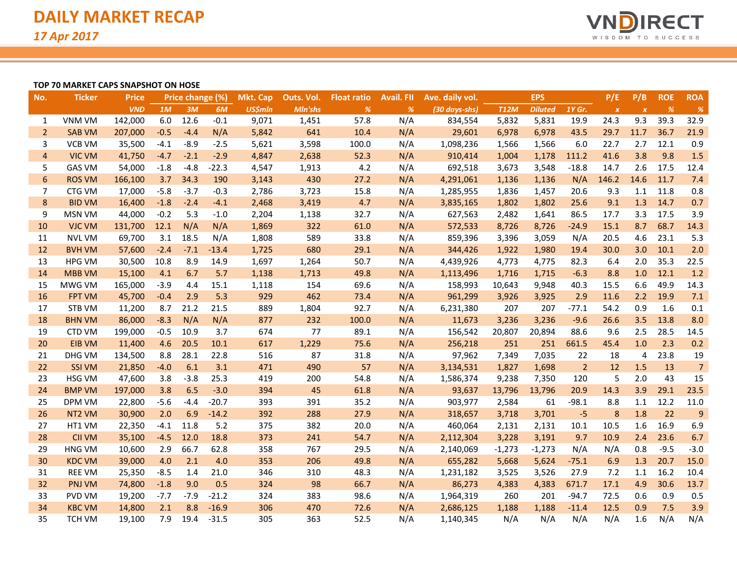

#### **TOP 70 MARKET CAPS SNAPSHOT ON HOSE**

| No.            | <b>Ticker</b>      | <b>Price</b> |        | Price change (%) |         | Mkt. Cap       | Outs. Vol. | <b>Float ratio</b> | <b>Avail. FII</b> | Ave. daily vol. |             | <b>EPS</b>     |                | P/E              | P/B              | <b>ROE</b> | <b>ROA</b>     |
|----------------|--------------------|--------------|--------|------------------|---------|----------------|------------|--------------------|-------------------|-----------------|-------------|----------------|----------------|------------------|------------------|------------|----------------|
|                |                    | <b>VND</b>   | 1M     | 3M               | 6M      | <b>US\$mln</b> | Mln'shs    | $\%$               | %                 | (30 days-shs)   | <b>T12M</b> | <b>Diluted</b> | 1Y Gr.         | $\boldsymbol{X}$ | $\boldsymbol{X}$ | %          | $\frac{9}{6}$  |
| 1              | <b>VNM VM</b>      | 142,000      | 6.0    | 12.6             | $-0.1$  | 9,071          | 1,451      | 57.8               | N/A               | 834,554         | 5,832       | 5,831          | 19.9           | 24.3             | 9.3              | 39.3       | 32.9           |
| $\overline{2}$ | <b>SAB VM</b>      | 207,000      | $-0.5$ | $-4.4$           | N/A     | 5,842          | 641        | 10.4               | N/A               | 29,601          | 6,978       | 6,978          | 43.5           | 29.7             | 11.7             | 36.7       | 21.9           |
| 3              | <b>VCB VM</b>      | 35,500       | $-4.1$ | $-8.9$           | $-2.5$  | 5,621          | 3,598      | 100.0              | N/A               | 1,098,236       | 1,566       | 1,566          | 6.0            | 22.7             | 2.7              | 12.1       | 0.9            |
| $\overline{4}$ | <b>VIC VM</b>      | 41,750       | $-4.7$ | $-2.1$           | $-2.9$  | 4,847          | 2,638      | 52.3               | N/A               | 910,414         | 1,004       | 1,178          | 111.2          | 41.6             | 3.8              | 9.8        | 1.5            |
| 5              | <b>GAS VM</b>      | 54,000       | $-1.8$ | $-4.8$           | $-22.3$ | 4,547          | 1,913      | 4.2                | N/A               | 692,518         | 3,673       | 3,548          | $-18.8$        | 14.7             | 2.6              | 17.5       | 12.4           |
| 6              | <b>ROS VM</b>      | 166,100      | 3.7    | 34.3             | 190     | 3,143          | 430        | 27.2               | N/A               | 4,291,061       | 1,136       | 1,136          | N/A            | 146.2            | 14.6             | 11.7       | 7.4            |
| 7              | CTG VM             | 17,000       | $-5.8$ | $-3.7$           | $-0.3$  | 2,786          | 3,723      | 15.8               | N/A               | 1,285,955       | 1,836       | 1,457          | 20.6           | 9.3              | 1.1              | 11.8       | 0.8            |
| 8              | <b>BID VM</b>      | 16,400       | $-1.8$ | $-2.4$           | $-4.1$  | 2,468          | 3,419      | 4.7                | N/A               | 3,835,165       | 1,802       | 1,802          | 25.6           | 9.1              | 1.3              | 14.7       | 0.7            |
| 9              | <b>MSN VM</b>      | 44,000       | $-0.2$ | 5.3              | $-1.0$  | 2,204          | 1,138      | 32.7               | N/A               | 627,563         | 2,482       | 1,641          | 86.5           | 17.7             | 3.3              | 17.5       | 3.9            |
| 10             | <b>VJC VM</b>      | 131,700      | 12.1   | N/A              | N/A     | 1,869          | 322        | 61.0               | N/A               | 572,533         | 8,726       | 8,726          | $-24.9$        | 15.1             | 8.7              | 68.7       | 14.3           |
| 11             | <b>NVL VM</b>      | 69,700       | 3.1    | 18.5             | N/A     | 1,808          | 589        | 33.8               | N/A               | 859,396         | 3,396       | 3,059          | N/A            | 20.5             | 4.6              | 23.1       | 5.3            |
| 12             | <b>BVH VM</b>      | 57,600       | $-2.4$ | $-7.1$           | $-13.4$ | 1,725          | 680        | 29.1               | N/A               | 344,426         | 1,922       | 1,980          | 19.4           | 30.0             | 3.0              | 10.1       | 2.0            |
| 13             | <b>HPG VM</b>      | 30,500       | 10.8   | 8.9              | 14.9    | 1,697          | 1,264      | 50.7               | N/A               | 4,439,926       | 4,773       | 4,775          | 82.3           | 6.4              | 2.0              | 35.3       | 22.5           |
| 14             | <b>MBB VM</b>      | 15,100       | 4.1    | 6.7              | 5.7     | 1,138          | 1,713      | 49.8               | N/A               | 1,113,496       | 1,716       | 1,715          | $-6.3$         | 8.8              | 1.0              | 12.1       | 1.2            |
| 15             | MWG VM             | 165,000      | $-3.9$ | 4.4              | 15.1    | 1,118          | 154        | 69.6               | N/A               | 158,993         | 10,643      | 9,948          | 40.3           | 15.5             | 6.6              | 49.9       | 14.3           |
| 16             | <b>FPT VM</b>      | 45,700       | $-0.4$ | 2.9              | 5.3     | 929            | 462        | 73.4               | N/A               | 961,299         | 3,926       | 3,925          | 2.9            | 11.6             | 2.2              | 19.9       | 7.1            |
| 17             | STB VM             | 11,200       | 8.7    | 21.2             | 21.5    | 889            | 1,804      | 92.7               | N/A               | 6,231,380       | 207         | 207            | $-77.1$        | 54.2             | 0.9              | 1.6        | 0.1            |
| 18             | <b>BHN VM</b>      | 86,000       | $-8.3$ | N/A              | N/A     | 877            | 232        | 100.0              | N/A               | 11,673          | 3,236       | 3,236          | $-9.6$         | 26.6             | 3.5              | 13.8       | 8.0            |
| 19             | CTD VM             | 199,000      | $-0.5$ | 10.9             | 3.7     | 674            | 77         | 89.1               | N/A               | 156,542         | 20,807      | 20,894         | 88.6           | 9.6              | 2.5              | 28.5       | 14.5           |
| 20             | <b>EIB VM</b>      | 11,400       | 4.6    | 20.5             | 10.1    | 617            | 1,229      | 75.6               | N/A               | 256,218         | 251         | 251            | 661.5          | 45.4             | 1.0              | 2.3        | 0.2            |
| 21             | DHG VM             | 134,500      | 8.8    | 28.1             | 22.8    | 516            | 87         | 31.8               | N/A               | 97,962          | 7,349       | 7,035          | 22             | 18               | $\overline{4}$   | 23.8       | 19             |
| 22             | <b>SSI VM</b>      | 21,850       | $-4.0$ | 6.1              | 3.1     | 471            | 490        | 57                 | N/A               | 3,134,531       | 1,827       | 1,698          | $\overline{2}$ | 12               | 1.5              | 13         | $\overline{7}$ |
| 23             | <b>HSG VM</b>      | 47,600       | 3.8    | $-3.8$           | 25.3    | 419            | 200        | 54.8               | N/A               | 1,586,374       | 9,238       | 7,350          | 120            | 5                | 2.0              | 43         | 15             |
| 24             | <b>BMP VM</b>      | 197,000      | 3.8    | 6.5              | $-3.0$  | 394            | 45         | 61.8               | N/A               | 93,637          | 13,796      | 13,796         | 20.9           | 14.3             | 3.9              | 29.1       | 23.5           |
| 25             | DPM VM             | 22,800       | $-5.6$ | $-4.4$           | $-20.7$ | 393            | 391        | 35.2               | N/A               | 903,977         | 2,584       | 61             | $-98.1$        | 8.8              | 1.1              | 12.2       | 11.0           |
| 26             | NT <sub>2</sub> VM | 30,900       | 2.0    | 6.9              | $-14.2$ | 392            | 288        | 27.9               | N/A               | 318,657         | 3,718       | 3,701          | $-5$           | 8                | 1.8              | 22         | $\mathsf 9$    |
| 27             | HT1 VM             | 22,350       | $-4.1$ | 11.8             | 5.2     | 375            | 382        | 20.0               | N/A               | 460,064         | 2,131       | 2,131          | 10.1           | 10.5             | 1.6              | 16.9       | 6.9            |
| 28             | <b>CII VM</b>      | 35,100       | $-4.5$ | 12.0             | 18.8    | 373            | 241        | 54.7               | N/A               | 2,112,304       | 3,228       | 3,191          | 9.7            | 10.9             | 2.4              | 23.6       | 6.7            |
| 29             | <b>HNG VM</b>      | 10,600       | 2.9    | 66.7             | 62.8    | 358            | 767        | 29.5               | N/A               | 2,140,069       | $-1,273$    | $-1,273$       | N/A            | N/A              | 0.8              | $-9.5$     | $-3.0$         |
| 30             | <b>KDC VM</b>      | 39,000       | 4.0    | 2.1              | 4.0     | 353            | 206        | 49.8               | N/A               | 655,282         | 5,668       | 5,624          | $-75.1$        | 6.9              | 1.3              | 20.7       | 15.0           |
| 31             | <b>REE VM</b>      | 25,350       | $-8.5$ | 1.4              | 21.0    | 346            | 310        | 48.3               | N/A               | 1,231,182       | 3,525       | 3,526          | 27.9           | 7.2              | 1.1              | 16.2       | 10.4           |
| 32             | <b>PNJ VM</b>      | 74,800       | $-1.8$ | 9.0              | 0.5     | 324            | 98         | 66.7               | N/A               | 86,273          | 4,383       | 4,383          | 671.7          | 17.1             | 4.9              | 30.6       | 13.7           |
| 33             | <b>PVD VM</b>      | 19,200       | $-7.7$ | $-7.9$           | $-21.2$ | 324            | 383        | 98.6               | N/A               | 1,964,319       | 260         | 201            | $-94.7$        | 72.5             | 0.6              | 0.9        | 0.5            |
| 34             | <b>KBC VM</b>      | 14,800       | 2.1    | 8.8              | $-16.9$ | 306            | 470        | 72.6               | N/A               | 2,686,125       | 1,188       | 1,188          | $-11.4$        | 12.5             | 0.9              | 7.5        | 3.9            |
| 35             | TCH VM             | 19,100       | 7.9    | 19.4             | $-31.5$ | 305            | 363        | 52.5               | N/A               | 1,140,345       | N/A         | N/A            | N/A            | N/A              | 1.6              | N/A        | N/A            |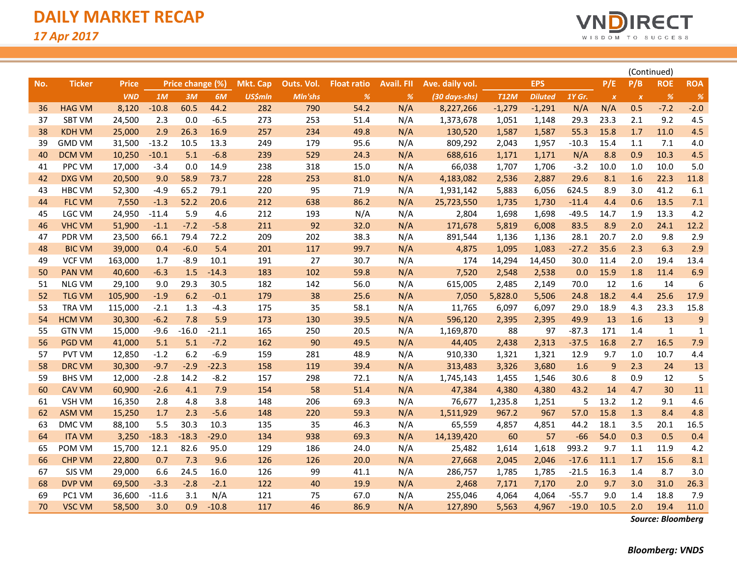

|     |               |              |         |                  |         |                 |            |                    |                   |                 |             |                |          |              |                  | (Continued)  |              |
|-----|---------------|--------------|---------|------------------|---------|-----------------|------------|--------------------|-------------------|-----------------|-------------|----------------|----------|--------------|------------------|--------------|--------------|
| No. | <b>Ticker</b> | <b>Price</b> |         | Price change (%) |         | <b>Mkt. Cap</b> | Outs. Vol. | <b>Float ratio</b> | <b>Avail. FII</b> | Ave. daily vol. |             | <b>EPS</b>     |          | P/E          | P/B              | <b>ROE</b>   | <b>ROA</b>   |
|     |               | <b>VND</b>   | 1M      | 3M               | 6M      | <b>US\$mln</b>  | Mln'shs    | %                  | %                 | (30 days-shs)   | <b>T12M</b> | <b>Diluted</b> | $1Y$ Gr. | $\pmb{\chi}$ | $\boldsymbol{x}$ | %            | $\%$         |
| 36  | <b>HAG VM</b> | 8,120        | $-10.8$ | 60.5             | 44.2    | 282             | 790        | 54.2               | N/A               | 8,227,266       | $-1,279$    | $-1,291$       | N/A      | N/A          | 0.5              | $-7.2$       | $-2.0$       |
| 37  | <b>SBT VM</b> | 24,500       | 2.3     | 0.0              | $-6.5$  | 273             | 253        | 51.4               | N/A               | 1,373,678       | 1,051       | 1,148          | 29.3     | 23.3         | 2.1              | 9.2          | 4.5          |
| 38  | <b>KDH VM</b> | 25,000       | 2.9     | 26.3             | 16.9    | 257             | 234        | 49.8               | N/A               | 130,520         | 1,587       | 1,587          | 55.3     | 15.8         | 1.7              | 11.0         | 4.5          |
| 39  | <b>GMD VM</b> | 31,500       | $-13.2$ | 10.5             | 13.3    | 249             | 179        | 95.6               | N/A               | 809,292         | 2,043       | 1,957          | $-10.3$  | 15.4         | 1.1              | 7.1          | 4.0          |
| 40  | <b>DCM VM</b> | 10,250       | $-10.1$ | 5.1              | $-6.8$  | 239             | 529        | 24.3               | N/A               | 688,616         | 1,171       | 1,171          | N/A      | 8.8          | 0.9              | 10.3         | 4.5          |
| 41  | <b>PPC VM</b> | 17,000       | $-3.4$  | 0.0              | 14.9    | 238             | 318        | 15.0               | N/A               | 66,038          | 1,707       | 1,706          | $-3.2$   | 10.0         | 1.0              | 10.0         | 5.0          |
| 42  | <b>DXG VM</b> | 20,500       | 9.0     | 58.9             | 73.7    | 228             | 253        | 81.0               | N/A               | 4,183,082       | 2,536       | 2,887          | 29.6     | 8.1          | 1.6              | 22.3         | 11.8         |
| 43  | <b>HBC VM</b> | 52,300       | $-4.9$  | 65.2             | 79.1    | 220             | 95         | 71.9               | N/A               | 1,931,142       | 5,883       | 6,056          | 624.5    | 8.9          | 3.0              | 41.2         | 6.1          |
| 44  | <b>FLC VM</b> | 7,550        | $-1.3$  | 52.2             | 20.6    | 212             | 638        | 86.2               | N/A               | 25,723,550      | 1,735       | 1,730          | $-11.4$  | 4.4          | 0.6              | 13.5         | 7.1          |
| 45  | LGC VM        | 24,950       | $-11.4$ | 5.9              | 4.6     | 212             | 193        | N/A                | N/A               | 2,804           | 1,698       | 1,698          | $-49.5$  | 14.7         | 1.9              | 13.3         | 4.2          |
| 46  | <b>VHC VM</b> | 51,900       | $-1.1$  | $-7.2$           | $-5.8$  | 211             | 92         | 32.0               | N/A               | 171,678         | 5,819       | 6,008          | 83.5     | 8.9          | 2.0              | 24.1         | 12.2         |
| 47  | PDR VM        | 23,500       | 66.1    | 79.4             | 72.2    | 209             | 202        | 38.3               | N/A               | 891,544         | 1,136       | 1,136          | 28.1     | 20.7         | 2.0              | 9.8          | 2.9          |
| 48  | <b>BIC VM</b> | 39,000       | 0.4     | $-6.0$           | 5.4     | 201             | 117        | 99.7               | N/A               | 4,875           | 1,095       | 1,083          | $-27.2$  | 35.6         | 2.3              | 6.3          | 2.9          |
| 49  | <b>VCF VM</b> | 163,000      | 1.7     | $-8.9$           | 10.1    | 191             | 27         | 30.7               | N/A               | 174             | 14,294      | 14,450         | 30.0     | 11.4         | 2.0              | 19.4         | 13.4         |
| 50  | <b>PAN VM</b> | 40,600       | $-6.3$  | 1.5              | $-14.3$ | 183             | 102        | 59.8               | N/A               | 7,520           | 2,548       | 2,538          | 0.0      | 15.9         | 1.8              | 11.4         | 6.9          |
| 51  | <b>NLG VM</b> | 29,100       | 9.0     | 29.3             | 30.5    | 182             | 142        | 56.0               | N/A               | 615,005         | 2,485       | 2,149          | 70.0     | 12           | 1.6              | 14           | 6            |
| 52  | <b>TLG VM</b> | 105,900      | $-1.9$  | 6.2              | $-0.1$  | 179             | 38         | 25.6               | N/A               | 7,050           | 5,828.0     | 5,506          | 24.8     | 18.2         | 4.4              | 25.6         | 17.9         |
| 53  | <b>TRA VM</b> | 115,000      | $-2.1$  | 1.3              | $-4.3$  | 175             | 35         | 58.1               | N/A               | 11,765          | 6,097       | 6,097          | 29.0     | 18.9         | 4.3              | 23.3         | 15.8         |
| 54  | <b>HCM VM</b> | 30,300       | $-6.2$  | 7.8              | 5.9     | 173             | 130        | 39.5               | N/A               | 596,120         | 2,395       | 2,395          | 49.9     | 13           | 1.6              | 13           | 9            |
| 55  | <b>GTN VM</b> | 15,000       | $-9.6$  | $-16.0$          | $-21.1$ | 165             | 250        | 20.5               | N/A               | 1,169,870       | 88          | 97             | $-87.3$  | 171          | 1.4              | $\mathbf{1}$ | $\mathbf{1}$ |
| 56  | <b>PGD VM</b> | 41,000       | 5.1     | 5.1              | $-7.2$  | 162             | 90         | 49.5               | N/A               | 44,405          | 2,438       | 2,313          | $-37.5$  | 16.8         | 2.7              | 16.5         | 7.9          |
| 57  | <b>PVT VM</b> | 12,850       | $-1.2$  | 6.2              | $-6.9$  | 159             | 281        | 48.9               | N/A               | 910,330         | 1,321       | 1,321          | 12.9     | 9.7          | 1.0              | 10.7         | 4.4          |
| 58  | <b>DRC VM</b> | 30,300       | $-9.7$  | $-2.9$           | $-22.3$ | 158             | 119        | 39.4               | N/A               | 313,483         | 3,326       | 3,680          | 1.6      | 9            | 2.3              | 24           | 13           |
| 59  | <b>BHS VM</b> | 12,000       | $-2.8$  | 14.2             | $-8.2$  | 157             | 298        | 72.1               | N/A               | 1,745,143       | 1,455       | 1,546          | 30.6     | 8            | 0.9              | 12           | 5            |
| 60  | <b>CAV VM</b> | 60,900       | $-2.6$  | 4.1              | 7.9     | 154             | 58         | 51.4               | N/A               | 47,384          | 4,380       | 4,380          | 43.2     | 14           | 4.7              | 30           | 11           |
| 61  | <b>VSH VM</b> | 16,350       | 2.8     | 4.8              | 3.8     | 148             | 206        | 69.3               | N/A               | 76,677          | 1,235.8     | 1,251          | 5        | 13.2         | 1.2              | 9.1          | 4.6          |
| 62  | <b>ASM VM</b> | 15,250       | 1.7     | 2.3              | $-5.6$  | 148             | 220        | 59.3               | N/A               | 1,511,929       | 967.2       | 967            | 57.0     | 15.8         | 1.3              | 8.4          | 4.8          |
| 63  | <b>DMC VM</b> | 88,100       | 5.5     | 30.3             | 10.3    | 135             | 35         | 46.3               | N/A               | 65,559          | 4,857       | 4,851          | 44.2     | 18.1         | 3.5              | 20.1         | 16.5         |
| 64  | <b>ITA VM</b> | 3,250        | $-18.3$ | $-18.3$          | $-29.0$ | 134             | 938        | 69.3               | N/A               | 14,139,420      | 60          | 57             | $-66$    | 54.0         | 0.3              | 0.5          | 0.4          |
| 65  | POM VM        | 15,700       | 12.1    | 82.6             | 95.0    | 129             | 186        | 24.0               | N/A               | 25,482          | 1,614       | 1,618          | 993.2    | 9.7          | 1.1              | 11.9         | 4.2          |
| 66  | <b>CHP VM</b> | 22,800       | 0.7     | 7.3              | 9.6     | 126             | 126        | 20.0               | N/A               | 27,668          | 2,045       | 2,046          | $-17.6$  | 11.1         | 1.7              | 15.6         | 8.1          |
| 67  | SJS VM        | 29,000       | 6.6     | 24.5             | 16.0    | 126             | 99         | 41.1               | N/A               | 286,757         | 1,785       | 1,785          | $-21.5$  | 16.3         | 1.4              | 8.7          | 3.0          |
| 68  | <b>DVP VM</b> | 69,500       | $-3.3$  | $-2.8$           | $-2.1$  | 122             | 40         | 19.9               | N/A               | 2,468           | 7,171       | 7,170          | 2.0      | 9.7          | 3.0              | 31.0         | 26.3         |
| 69  | PC1 VM        | 36,600       | $-11.6$ | 3.1              | N/A     | 121             | 75         | 67.0               | N/A               | 255,046         | 4,064       | 4,064          | $-55.7$  | 9.0          | 1.4              | 18.8         | 7.9          |
| 70  | <b>VSC VM</b> | 58,500       | 3.0     | 0.9              | $-10.8$ | 117             | 46         | 86.9               | N/A               | 127,890         | 5,563       | 4,967          | $-19.0$  | 10.5         | 2.0              | 19.4         | 11.0         |

*Source: Bloomberg*